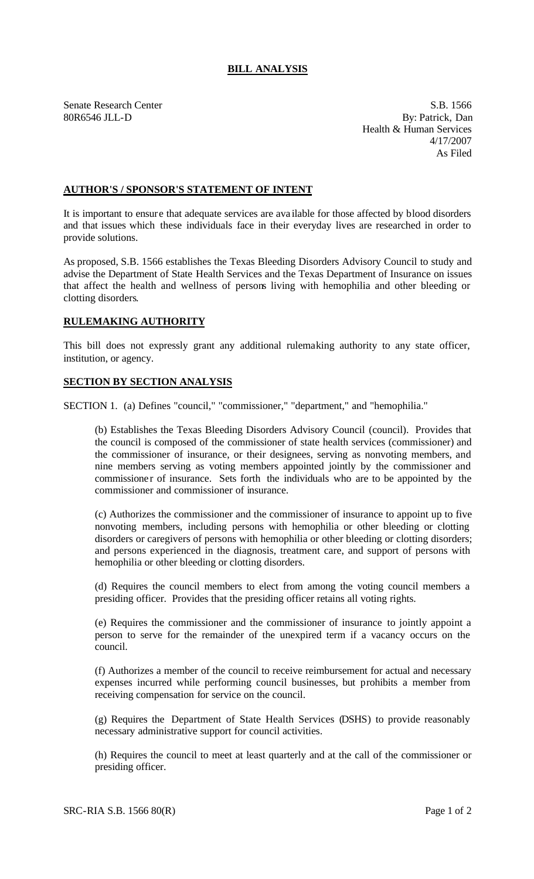## **BILL ANALYSIS**

Senate Research Center S.B. 1566 80R6546 JLL-D By: Patrick, Dan Health & Human Services 4/17/2007 As Filed

## **AUTHOR'S / SPONSOR'S STATEMENT OF INTENT**

It is important to ensure that adequate services are ava ilable for those affected by blood disorders and that issues which these individuals face in their everyday lives are researched in order to provide solutions.

As proposed, S.B. 1566 establishes the Texas Bleeding Disorders Advisory Council to study and advise the Department of State Health Services and the Texas Department of Insurance on issues that affect the health and wellness of persons living with hemophilia and other bleeding or clotting disorders.

## **RULEMAKING AUTHORITY**

This bill does not expressly grant any additional rulemaking authority to any state officer, institution, or agency.

## **SECTION BY SECTION ANALYSIS**

SECTION 1. (a) Defines "council," "commissioner," "department," and "hemophilia."

(b) Establishes the Texas Bleeding Disorders Advisory Council (council). Provides that the council is composed of the commissioner of state health services (commissioner) and the commissioner of insurance, or their designees, serving as nonvoting members, and nine members serving as voting members appointed jointly by the commissioner and commissioner of insurance. Sets forth the individuals who are to be appointed by the commissioner and commissioner of insurance.

(c) Authorizes the commissioner and the commissioner of insurance to appoint up to five nonvoting members, including persons with hemophilia or other bleeding or clotting disorders or caregivers of persons with hemophilia or other bleeding or clotting disorders; and persons experienced in the diagnosis, treatment care, and support of persons with hemophilia or other bleeding or clotting disorders.

(d) Requires the council members to elect from among the voting council members a presiding officer. Provides that the presiding officer retains all voting rights.

(e) Requires the commissioner and the commissioner of insurance to jointly appoint a person to serve for the remainder of the unexpired term if a vacancy occurs on the council.

(f) Authorizes a member of the council to receive reimbursement for actual and necessary expenses incurred while performing council businesses, but prohibits a member from receiving compensation for service on the council.

(g) Requires the Department of State Health Services (DSHS) to provide reasonably necessary administrative support for council activities.

(h) Requires the council to meet at least quarterly and at the call of the commissioner or presiding officer.